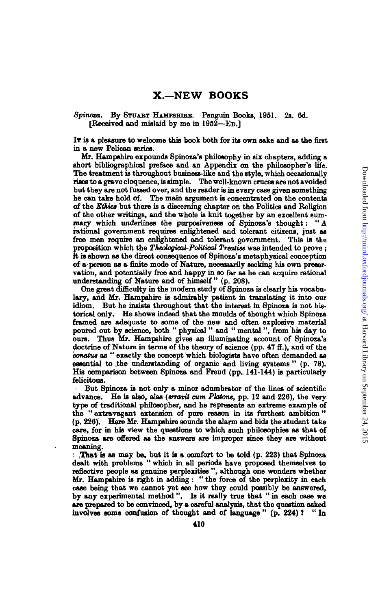## *Spinoza.* **By STUABT HAMPSHIRE. Penguin Books, 1051. 2s. 6d. [Received and mislaid by me in 1002—ED.]**

**IT is a pleasure to welcome this book both for its own sake and as the first in a new Pelican series.**

**Mr. Hampshire expounds Spinoza's philosophy in six chapters, adding a short bibliographical preface and an Appendix on the philosopher's life. The treatment is throughout business-like and the style, which occasionally rises to a grave eloquence, is simple. The well-known cruces are not avoided but they are not fussed over, and the reader is in every case given something he can take hold of. The main argument is concentrated on the contents of the** *Ethics* **but there is a discerning chapter on the Politics and Religion of the other writings, and the whole is knit together by an excellent sum**mary which underlines the purposiveness of Spinoza's thought: "A **rational government requires enlightened and tolerant citizens, just as free men require an enlightened and tolerant government. This is the proposition which the** *Theological-Political Treatise* **was intended to prove ; ft is shown as the direct consequence of Spinoza's metaphysical conception of a person as a finite mode of Nature, necessarily seeking his own preservation, and potentially free and happy in so far as he can acquire rational understanding of Nature and of himself " (p. 208).**

**One great difficulty in the modern study of Spinoza is clearly his vocabulary, and Mr. Hampshire is admirably patient in translating it into our idiom. But he insists throughout that the interest in Spinoza is not historical only. He shows indeed that the moulds of thought which Spinoza framed are adequate to some of the new and often explosive material poured out by science, both " physical " and " mental ", from his day to ours. Thus Mr. Hampshire gives an illuminating account of Spinoza's doctrine of Nature in terms of the theory of science (pp. 47** *3.),* **and of the** *oonatus* **as " exactly the concept which biologists have often demanded as essential to .the understanding of organic and living systems " (p. 78). His comparison between Spinoza and Freud (pp., 141-144) is particularly felicitous.**

**- But Spinoza is not only a minor adumbrator of the lines of scientific advance. He is also, alas** *(erravit cum Platone,* **pp. 12 and 226), the very type of traditional philosopher, and he represents an extreme example of the " extravagant extension of pure reason in its furthest ambition "** (p. 226). Here Mr. Hampshire sounds the alarm and bids the student take **care, for in his view the questions to which such philosophies as that of Spinoza are offered as the answers are improper since they are without meaning.**

**: That is as may be, but it is a comfort to be told (p. 223) that Spinoza dealt with problems " which in all periods have proposed themselves to reflective people as genuine perplexities ", although one wonders whether Mr. Hampshire is right in adding : " the force of the perplexity in each case being that we cannot yet see how they could possibly be answered, by any experimental method ". Is it really true that " in each case we are prepared to be convinced, by a careful analysis, that the question asked involves some oonfuiion of thought and of language " (p. 224) T "In**